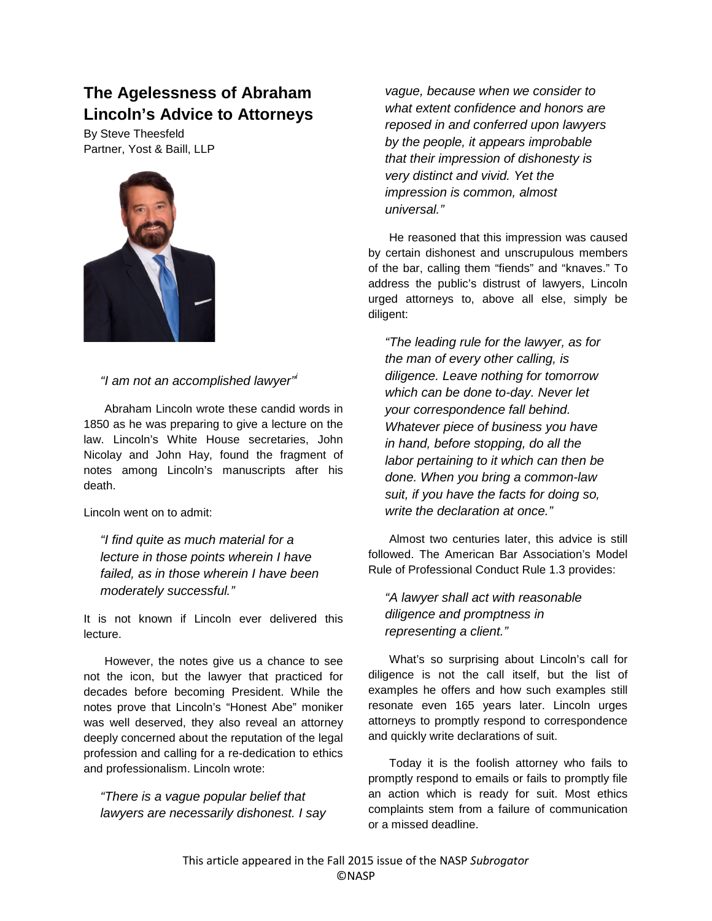## **The Agelessness of Abraham Lincoln's Advice to Attorneys**

By Steve Theesfeld Partner, Yost & Baill, LLP



## *"I am not an accomplished lawyer"[i](#page-2-0)*

Abraham Lincoln wrote these candid words in 1850 as he was preparing to give a lecture on the law. Lincoln's White House secretaries, John Nicolay and John Hay, found the fragment of notes among Lincoln's manuscripts after his death.

Lincoln went on to admit:

*"I find quite as much material for a lecture in those points wherein I have failed, as in those wherein I have been moderately successful."*

It is not known if Lincoln ever delivered this lecture.

However, the notes give us a chance to see not the icon, but the lawyer that practiced for decades before becoming President. While the notes prove that Lincoln's "Honest Abe" moniker was well deserved, they also reveal an attorney deeply concerned about the reputation of the legal profession and calling for a re-dedication to ethics and professionalism. Lincoln wrote:

## *"There is a vague popular belief that lawyers are necessarily dishonest. I say*

*vague, because when we consider to what extent confidence and honors are reposed in and conferred upon lawyers by the people, it appears improbable that their impression of dishonesty is very distinct and vivid. Yet the impression is common, almost universal."*

He reasoned that this impression was caused by certain dishonest and unscrupulous members of the bar, calling them "fiends" and "knaves." To address the public's distrust of lawyers, Lincoln urged attorneys to, above all else, simply be diligent:

*"The leading rule for the lawyer, as for the man of every other calling, is diligence. Leave nothing for tomorrow which can be done to-day. Never let your correspondence fall behind. Whatever piece of business you have in hand, before stopping, do all the labor pertaining to it which can then be done. When you bring a common-law suit, if you have the facts for doing so, write the declaration at once."*

Almost two centuries later, this advice is still followed. The American Bar Association's Model Rule of Professional Conduct Rule 1.3 provides:

*"A lawyer shall act with reasonable diligence and promptness in representing a client."*

What's so surprising about Lincoln's call for diligence is not the call itself, but the list of examples he offers and how such examples still resonate even 165 years later. Lincoln urges attorneys to promptly respond to correspondence and quickly write declarations of suit.

Today it is the foolish attorney who fails to promptly respond to emails or fails to promptly file an action which is ready for suit. Most ethics complaints stem from a failure of communication or a missed deadline.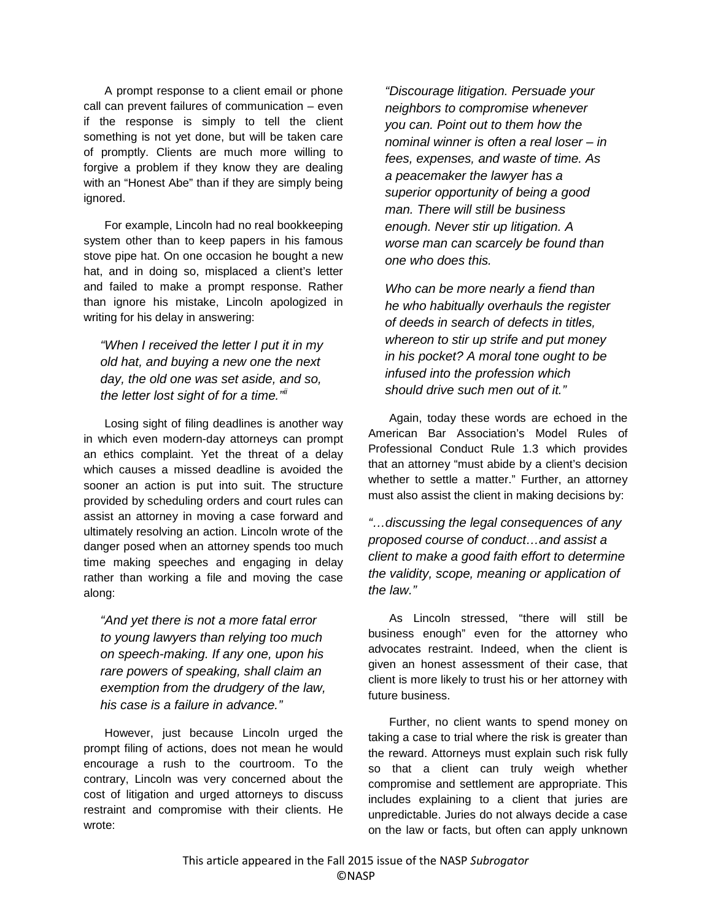A prompt response to a client email or phone call can prevent failures of communication – even if the response is simply to tell the client something is not yet done, but will be taken care of promptly. Clients are much more willing to forgive a problem if they know they are dealing with an "Honest Abe" than if they are simply being ignored.

For example, Lincoln had no real bookkeeping system other than to keep papers in his famous stove pipe hat. On one occasion he bought a new hat, and in doing so, misplaced a client's letter and failed to make a prompt response. Rather than ignore his mistake, Lincoln apologized in writing for his delay in answering:

*"When I received the letter I put it in my old hat, and buying a new one the next day, the old one was set aside, and so, the letter lost sight of for a time."[ii](#page-2-1)*

Losing sight of filing deadlines is another way in which even modern-day attorneys can prompt an ethics complaint. Yet the threat of a delay which causes a missed deadline is avoided the sooner an action is put into suit. The structure provided by scheduling orders and court rules can assist an attorney in moving a case forward and ultimately resolving an action. Lincoln wrote of the danger posed when an attorney spends too much time making speeches and engaging in delay rather than working a file and moving the case along:

*"And yet there is not a more fatal error to young lawyers than relying too much on speech-making. If any one, upon his rare powers of speaking, shall claim an exemption from the drudgery of the law, his case is a failure in advance."*

However, just because Lincoln urged the prompt filing of actions, does not mean he would encourage a rush to the courtroom. To the contrary, Lincoln was very concerned about the cost of litigation and urged attorneys to discuss restraint and compromise with their clients. He wrote:

*"Discourage litigation. Persuade your neighbors to compromise whenever you can. Point out to them how the nominal winner is often a real loser – in fees, expenses, and waste of time. As a peacemaker the lawyer has a superior opportunity of being a good man. There will still be business enough. Never stir up litigation. A worse man can scarcely be found than one who does this.*

*Who can be more nearly a fiend than he who habitually overhauls the register of deeds in search of defects in titles, whereon to stir up strife and put money in his pocket? A moral tone ought to be infused into the profession which should drive such men out of it."*

Again, today these words are echoed in the American Bar Association's Model Rules of Professional Conduct Rule 1.3 which provides that an attorney "must abide by a client's decision whether to settle a matter." Further, an attorney must also assist the client in making decisions by:

*"…discussing the legal consequences of any proposed course of conduct…and assist a client to make a good faith effort to determine the validity, scope, meaning or application of the law."*

As Lincoln stressed, "there will still be business enough" even for the attorney who advocates restraint. Indeed, when the client is given an honest assessment of their case, that client is more likely to trust his or her attorney with future business.

Further, no client wants to spend money on taking a case to trial where the risk is greater than the reward. Attorneys must explain such risk fully so that a client can truly weigh whether compromise and settlement are appropriate. This includes explaining to a client that juries are unpredictable. Juries do not always decide a case on the law or facts, but often can apply unknown